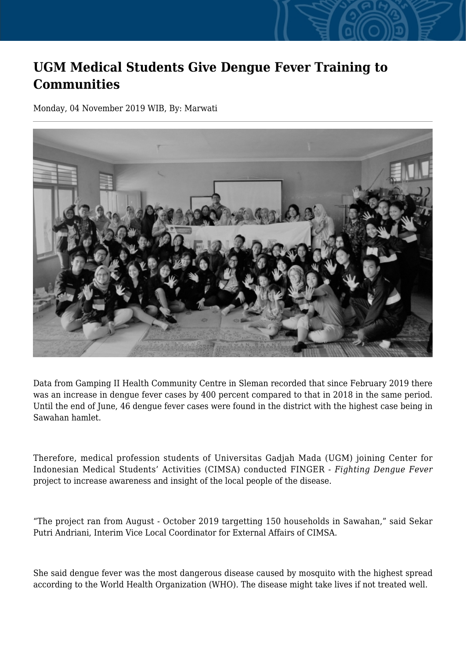## **UGM Medical Students Give Dengue Fever Training to Communities**

Monday, 04 November 2019 WIB, By: Marwati



Data from Gamping II Health Community Centre in Sleman recorded that since February 2019 there was an increase in dengue fever cases by 400 percent compared to that in 2018 in the same period. Until the end of June, 46 dengue fever cases were found in the district with the highest case being in Sawahan hamlet.

Therefore, medical profession students of Universitas Gadjah Mada (UGM) joining Center for Indonesian Medical Students' Activities (CIMSA) conducted FINGER - *Fighting Dengue Fever* project to increase awareness and insight of the local people of the disease.

"The project ran from August - October 2019 targetting 150 households in Sawahan," said Sekar Putri Andriani, Interim Vice Local Coordinator for External Affairs of CIMSA.

She said dengue fever was the most dangerous disease caused by mosquito with the highest spread according to the World Health Organization (WHO). The disease might take lives if not treated well.